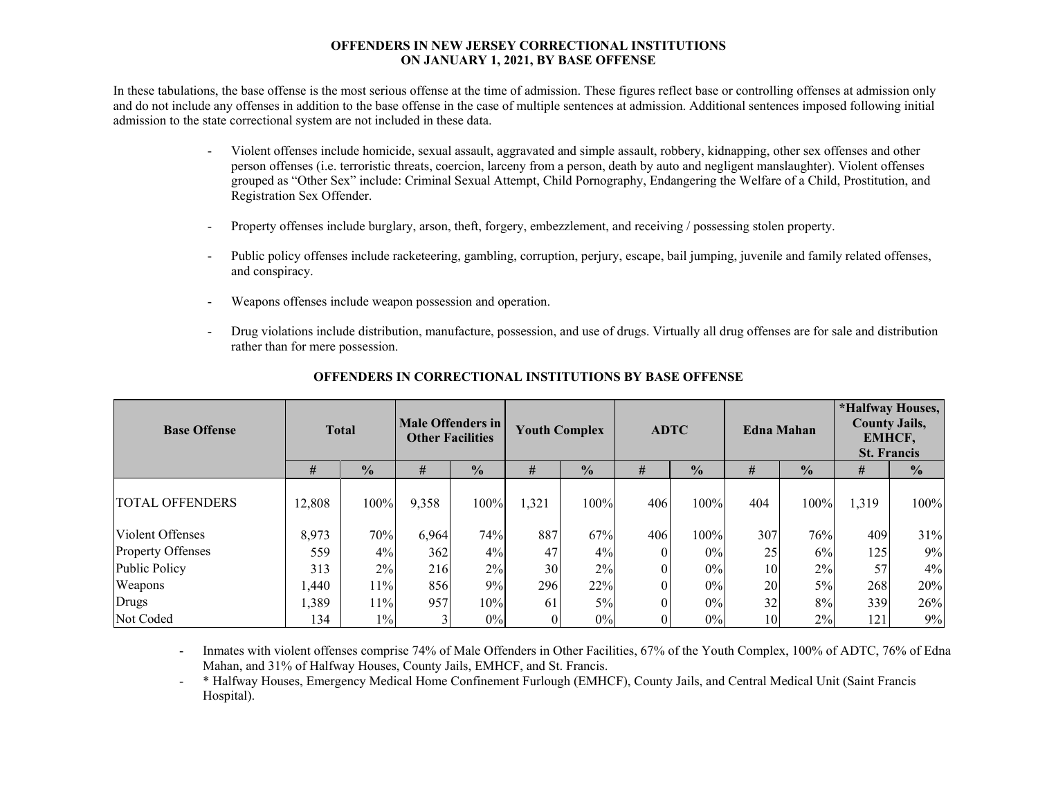#### **OFFENDERS IN NEW JERSEY CORRECTIONAL INSTITUTIONS ON JANUARY 1, 2021, BY BASE OFFENSE**

In these tabulations, the base offense is the most serious offense at the time of admission. These figures reflect base or controlling offenses at admission only and do not include any offenses in addition to the base offense in the case of multiple sentences at admission. Additional sentences imposed following initial admission to the state correctional system are not included in these data.

- - Violent offenses include homicide, sexual assault, aggravated and simple assault, robbery, kidnapping, other sex offenses and other person offenses (i.e. terroristic threats, coercion, larceny from a person, death by auto and negligent manslaughter). Violent offenses grouped as "Other Sex" include: Criminal Sexual Attempt, Child Pornography, Endangering the Welfare of a Child, Prostitution, and Registration Sex Offender.
- Property offenses include burglary, arson, theft, forgery, embezzlement, and receiving / possessing stolen property.
- Public policy offenses include racketeering, gambling, corruption, perjury, escape, bail jumping, juvenile and family related offenses, and conspiracy.
- Weapons offenses include weapon possession and operation.
- Drug violations include distribution, manufacture, possession, and use of drugs. Virtually all drug offenses are for sale and distribution rather than for mere possession.

| <b>Base Offense</b>      | <b>Total</b> |               | Male Offenders in<br><b>Other Facilities</b> |               | <b>Youth Complex</b> |               | <b>ADTC</b> |               |     | <b>Edna Mahan</b> | *Halfway Houses,<br><b>County Jails,</b><br>EMHCF,<br><b>St. Francis</b> |               |  |
|--------------------------|--------------|---------------|----------------------------------------------|---------------|----------------------|---------------|-------------|---------------|-----|-------------------|--------------------------------------------------------------------------|---------------|--|
|                          | #            | $\frac{0}{0}$ | #                                            | $\frac{0}{0}$ | #                    | $\frac{0}{0}$ | #           | $\frac{0}{0}$ | #   | $\frac{0}{0}$     | #                                                                        | $\frac{0}{0}$ |  |
| <b>TOTAL OFFENDERS</b>   | 12,808       | 100%          | 9,358                                        | 100%          | 1,321                | 100%          | 406         | 100%          | 404 | 100%              | 1,319                                                                    | 100%          |  |
| Violent Offenses         | 8,973        | 70%           | 6,964                                        | 74%           | 887                  | 67%           | 406         | 100%          | 307 | 76%               | 409                                                                      | 31%           |  |
| <b>Property Offenses</b> | 559          | 4%            | 362                                          | 4%            | 47                   | 4%            |             | 0%            | 25  | 6%                | 125                                                                      | 9%            |  |
| Public Policy            | 313          | 2%            | 216                                          | 2%            | 30                   | 2%            |             | $0\%$         | 10  | 2%                | 57                                                                       | 4%            |  |
| Weapons                  | 1,440        | 11%           | 856                                          | 9%            | 296                  | 22%           |             | 0%            | 20  | 5%                | 268                                                                      | 20%           |  |
| Drugs                    | 1,389        | 11%           | 957                                          | 10%           | 61                   | $5\%$         |             | $0\%$         | 32  | 8%                | 339                                                                      | 26%           |  |
| Not Coded                | 134          | $1\%$         |                                              | 0%            |                      | 0%            |             | 0%            | 10  | 2%                | 121                                                                      | 9%            |  |

### **OFFENDERS IN CORRECTIONAL INSTITUTIONS BY BASE OFFENSE**

 Inmates with violent offenses comprise 74% of Male Offenders in Other Facilities, 67% of the Youth Complex, 100% of ADTC, 76% of Edna Mahan, and 31% of Halfway Houses, County Jails, EMHCF, and St. Francis.

- \* Halfway Houses, Emergency Medical Home Confinement Furlough (EMHCF), County Jails, and Central Medical Unit (Saint Francis Hospital).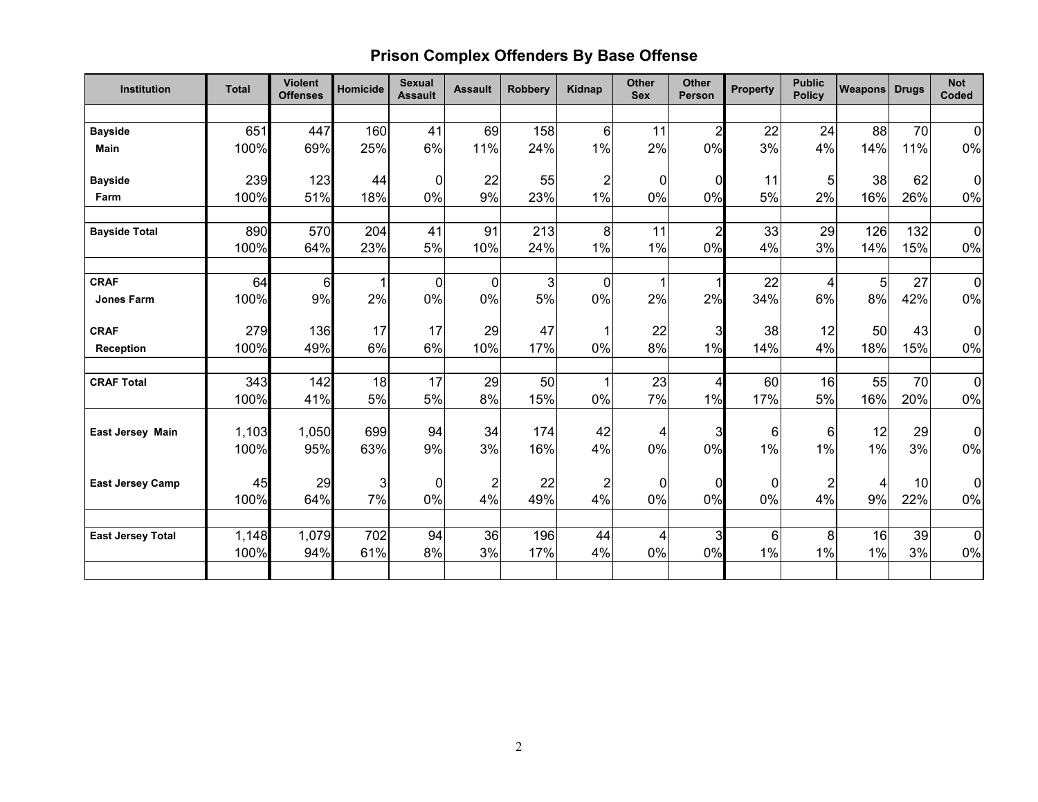# **Prison Complex Offenders By Base Offense**

| Institution              | <b>Total</b> | <b>Violent</b><br><b>Offenses</b> | <b>Homicide</b> | <b>Sexual</b><br><b>Assault</b> | <b>Assault</b>          | <b>Robbery</b> | Kidnap           | <b>Other</b><br><b>Sex</b> | <b>Other</b><br>Person | <b>Property</b> | <b>Public</b><br><b>Policy</b> | <b>Weapons Drugs</b> |           | <b>Not</b><br>Coded |
|--------------------------|--------------|-----------------------------------|-----------------|---------------------------------|-------------------------|----------------|------------------|----------------------------|------------------------|-----------------|--------------------------------|----------------------|-----------|---------------------|
|                          |              |                                   |                 |                                 |                         |                |                  |                            |                        |                 |                                |                      |           |                     |
| <b>Bayside</b>           | 651          | 447                               | 160             | 41                              | 69                      | 158            | 6                | 11                         | $\overline{2}$         | 22              | 24                             | 88                   | 70        | $\overline{0}$      |
| Main                     | 100%         | 69%                               | 25%             | 6%                              | 11%                     | 24%            | 1%               | 2%                         | 0%                     | 3%              | 4%                             | 14%                  | 11%       | 0%                  |
| <b>Bayside</b>           | 239          | 123                               | 44              | $\overline{0}$                  | 22                      | 55             | $\boldsymbol{2}$ | $\pmb{0}$                  | $\Omega$               | 11              | 5                              | 38                   | 62        | $\overline{0}$      |
| Farm                     | 100%         | 51%                               | 18%             | 0%                              | 9%                      | 23%            | 1%               | 0%                         | 0%                     | 5%              | 2%                             | 16%                  | 26%       | $0\%$               |
| <b>Bayside Total</b>     | 890          | 570                               | 204             | 41                              | 91                      | 213            | 8                | 11                         |                        | 33              | 29                             | 126                  | 132       | $\overline{0}$      |
|                          | 100%         | 64%                               | 23%             | 5%                              | 10%                     | 24%            | 1%               | 1%                         | 0%                     | 4%              | 3%                             | 14%                  | 15%       | $0\%$               |
| <b>CRAF</b>              | 64           | 6                                 | 1               | $\overline{0}$                  | $\overline{0}$          | 3              | $\mathbf 0$      | 1                          |                        | 22              | 4                              | 5                    | 27        | $\Omega$            |
| Jones Farm               | 100%         | 9%                                | 2%              | $0\%$                           | 0%                      | 5%             | 0%               | 2%                         | 2%                     | 34%             | $6\%$                          | 8%                   | 42%       | $0\%$               |
| <b>CRAF</b>              | 279          | 136                               | 17              | 17                              | 29                      | 47             | 1                | 22                         | $\overline{3}$         | 38              | 12                             | 50                   | 43        | $\overline{0}$      |
| <b>Reception</b>         | 100%         | 49%                               | 6%              | 6%                              | 10%                     | 17%            | 0%               | 8%                         | 1%                     | 14%             | 4%                             | 18%                  | 15%       | $0\%$               |
| <b>CRAF Total</b>        | 343<br>100%  | 142<br>41%                        | 18<br>5%        | 17<br>5%                        | 29<br>8%                | 50<br>15%      | 0%               | 23<br>7%                   | 4<br>1%                | 60<br>17%       | 16<br>5%                       | 55<br>16%            | 70<br>20% | $\Omega$<br>$0\%$   |
| <b>East Jersey Main</b>  | 1,103        | 1,050                             | 699             | 94                              | 34                      | 174            | 42               | 4                          | 3                      | $6 \mid$        | $6\phantom{1}6$                | 12                   | 29        | $\overline{0}$      |
|                          | 100%         | 95%                               | 63%             | 9%                              | 3%                      | 16%            | 4%               | $0\%$                      | 0%                     | 1%              | 1%                             | 1%                   | 3%        | $0\%$               |
| <b>East Jersey Camp</b>  | 45           | 29                                | 3               | $\overline{0}$                  | $\overline{\mathbf{c}}$ | 22             | $\boldsymbol{2}$ | $\boldsymbol{0}$           | $\Omega$               | $\mathbf 0$     | $\overline{\mathbf{c}}$        | 4                    | 10        | $\overline{0}$      |
|                          | 100%         | 64%                               | 7%              | $0\%$                           | 4%                      | 49%            | 4%               | 0%                         | 0%                     | 0%              | 4%                             | 9%                   | 22%       | $0\%$               |
| <b>East Jersey Total</b> | 1,148        | 1,079                             | 702             | 94                              | 36                      | 196            | 44               | 4                          | 3                      | 6               | 8                              | 16                   | 39        | $\overline{0}$      |
|                          | 100%         | 94%                               | 61%             | 8%                              | 3%                      | 17%            | 4%               | 0%                         | 0%                     | 1%              | 1%                             | 1%                   | 3%        | 0%                  |
|                          |              |                                   |                 |                                 |                         |                |                  |                            |                        |                 |                                |                      |           |                     |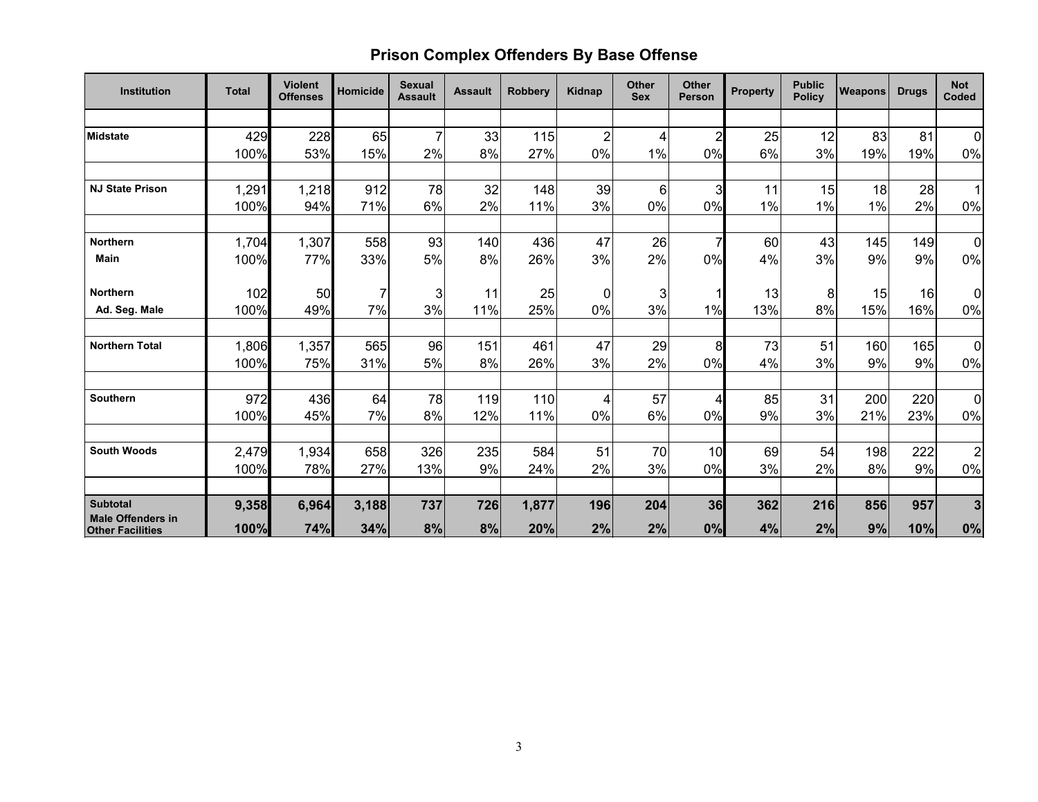# **Prison Complex Offenders By Base Offense**

| <b>Institution</b>                                  | <b>Total</b> | <b>Violent</b><br><b>Offenses</b> | <b>Homicide</b> | <b>Sexual</b><br><b>Assault</b> | <b>Assault</b> | <b>Robbery</b> | Kidnap         | <b>Other</b><br><b>Sex</b> | <b>Other</b><br>Person | <b>Property</b> | <b>Public</b><br><b>Policy</b> | <b>Weapons</b> | <b>Drugs</b> | <b>Not</b><br>Coded |
|-----------------------------------------------------|--------------|-----------------------------------|-----------------|---------------------------------|----------------|----------------|----------------|----------------------------|------------------------|-----------------|--------------------------------|----------------|--------------|---------------------|
|                                                     |              |                                   |                 |                                 |                |                |                |                            |                        |                 |                                |                |              |                     |
| <b>Midstate</b>                                     | 429          | 228                               | 65              | $\overline{7}$                  | 33             | 115            | $\overline{c}$ | 4                          |                        | 25              | 12                             | 83             | 81           | $\overline{0}$      |
|                                                     | 100%         | 53%                               | 15%             | 2%                              | 8%             | 27%            | $0\%$          | 1%                         | 0%                     | 6%              | 3%                             | 19%            | 19%          | 0%                  |
|                                                     |              |                                   |                 |                                 |                |                |                |                            |                        |                 |                                |                |              |                     |
| <b>NJ State Prison</b>                              | 1,291        | 1,218                             | 912             | 78                              | 32             | 148            | 39             | 6                          | $\overline{3}$         | 11              | 15                             | 18             | 28           | 1                   |
|                                                     | 100%         | 94%                               | 71%             | 6%                              | 2%             | 11%            | 3%             | 0%                         | 0%                     | 1%              | 1%                             | 1%             | 2%           | 0%                  |
| <b>Northern</b>                                     | 1,704        | 1,307                             | 558             | 93                              | 140            | 436            | 47             | 26                         |                        | 60              | 43                             | 145            | 149          | $\overline{0}$      |
| <b>Main</b>                                         | 100%         | 77%                               | 33%             | 5%                              | 8%             | 26%            | 3%             | 2%                         | 0%                     | 4%              | 3%                             | 9%             | 9%           | 0%                  |
| <b>Northern</b>                                     | 102          | 50                                | 7               | 3                               | 11             | 25             | 0              | 3                          |                        | 13              | 8                              | 15             | 16           | $\overline{0}$      |
| Ad. Seg. Male                                       | 100%         | 49%                               | 7%              | 3%                              | 11%            | 25%            | 0%             | 3%                         | 1%                     | 13%             | 8%                             | 15%            | 16%          | $0\%$               |
| <b>Northern Total</b>                               | 1,806        | 1,357                             | 565             | 96                              | 151            | 461            | 47             | 29                         | 8                      | 73              | 51                             | 160            | 165          | $\overline{0}$      |
|                                                     | 100%         | 75%                               | 31%             | 5%                              | 8%             | 26%            | 3%             | 2%                         | 0%                     | 4%              | 3%                             | 9%             | 9%           | $0\%$               |
|                                                     |              |                                   |                 |                                 |                |                |                |                            |                        |                 |                                |                |              |                     |
| <b>Southern</b>                                     | 972          | 436                               | 64              | 78                              | 119            | 110            | 4              | 57                         | 4                      | 85              | 31                             | 200            | 220          | $\overline{0}$      |
|                                                     | 100%         | 45%                               | 7%              | 8%                              | 12%            | 11%            | 0%             | 6%                         | 0%                     | 9%              | 3%                             | 21%            | 23%          | $0\%$               |
| <b>South Woods</b>                                  | 2,479        | 1,934                             | 658             | 326                             | 235            | 584            | 51             | 70                         | 10                     | 69              | 54                             | 198            | 222          | $\overline{2}$      |
|                                                     | 100%         | 78%                               | 27%             | 13%                             | 9%             | 24%            | 2%             | 3%                         | 0%                     | 3%              | 2%                             | 8%             | 9%           | 0%                  |
| <b>Subtotal</b>                                     | 9,358        | 6,964                             | 3,188           | 737                             | 726            | 1,877          | 196            | 204                        | 36                     | 362             | 216                            | 856            | 957          | $\overline{3}$      |
| <b>Male Offenders in</b><br><b>Other Facilities</b> | 100%         | 74%                               | 34%             | 8%                              | 8%             | 20%            | 2%             | 2%                         | 0%                     | 4%              | 2%                             | 9%             | 10%          | $0\%$               |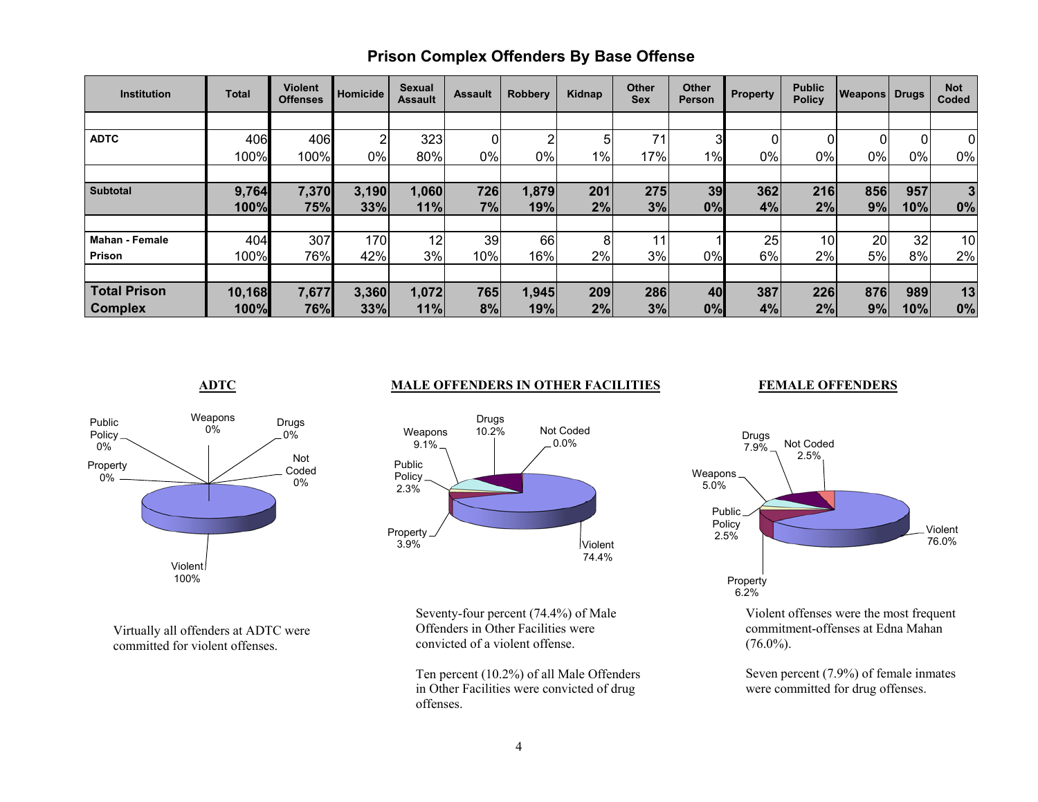| <b>Institution</b>    | <b>Total</b> | <b>Violent</b><br><b>Offenses</b> | Homicide | <b>Sexual</b><br><b>Assault</b> | <b>Assault</b> | <b>Robbery</b> | Kidnap | Other<br><b>Sex</b> | Other<br>Person | <b>Property</b> | <b>Public</b><br><b>Policy</b> | <b>Weapons Drugs</b> |     | <b>Not</b><br>Coded |
|-----------------------|--------------|-----------------------------------|----------|---------------------------------|----------------|----------------|--------|---------------------|-----------------|-----------------|--------------------------------|----------------------|-----|---------------------|
|                       |              |                                   |          |                                 |                |                |        |                     |                 |                 |                                |                      |     |                     |
| <b>ADTC</b>           | 406          | 406                               | റ        | 323                             | 0              | ົ              | 5      | 71                  | 3               |                 | 01                             |                      | 0   | $\overline{0}$      |
|                       | 100%         | 100%                              | 0%       | 80%                             | $0\%$          | 0%             | $1\%$  | 17%                 | 1%              | 0%              | $0\%$                          | $0\%$                | 0%  | 0%                  |
|                       |              |                                   |          |                                 |                |                |        |                     |                 |                 |                                |                      |     |                     |
| <b>Subtotal</b>       | 9,764        | 7,370                             | 3,190    | 1,060                           | 726            | 1,879          | 201    | 275                 | 39              | 362             | 216                            | 856                  | 957 | 3                   |
|                       | 100%         | 75%                               | 33%      | 11%                             | 7%             | 19%            | 2%     | 3%                  | 0%              | 4%              | 2%                             | 9%                   | 10% | 0%                  |
|                       |              |                                   |          |                                 |                |                |        |                     |                 |                 |                                |                      |     |                     |
| <b>Mahan - Female</b> | 404          | 307                               | 170      | 12                              | 39             | 66             | 8      | 11                  |                 | 25              | 10                             | 20                   | 32  | 10                  |
| Prison                | 100%         | 76%                               | 42%      | 3%                              | 10%            | 16%            | 2%     | 3%                  | 0%              | 6%              | 2%                             | 5%                   | 8%  | 2%                  |
|                       |              |                                   |          |                                 |                |                |        |                     |                 |                 |                                |                      |     |                     |
| <b>Total Prison</b>   | 10,168       | 7,677                             | 3,360    | 1,072                           | 765            | 1,945          | 209    | 286                 | 40              | 387             | 226                            | 876                  | 989 | 13                  |
| <b>Complex</b>        | 100%         | 76%                               | 33%      | 11%                             | 8%             | 19%            | 2%     | 3%                  | 0%              | 4%              | 2%                             | 9%                   | 10% | 0%                  |

## **Prison Complex Offenders By Base Offense**

#### **ADTC** MALE OFFENDERS IN OTHER FACILITIES

#### **FEMALE OFFENDERS**



Virtually all offenders at ADTC were committed for violent offenses.

Violent 74.4%Property 3.9% Public Policy 2.3%Weapons  $9.1%$ Drugs 10.2% Not Coded 0.0%

> Seventy-four percent (74.4%) of Male Offenders in Other Facilities were convicted of a violent offense.

Ten percent (10.2%) of all Male Offenders in Other Facilities were convicted of drug offenses.



Violent offenses were the most frequent commitment-offenses at Edna Mahan  $(76.0\%)$ .

Seven percent (7.9%) of female inmates were committed for drug offenses.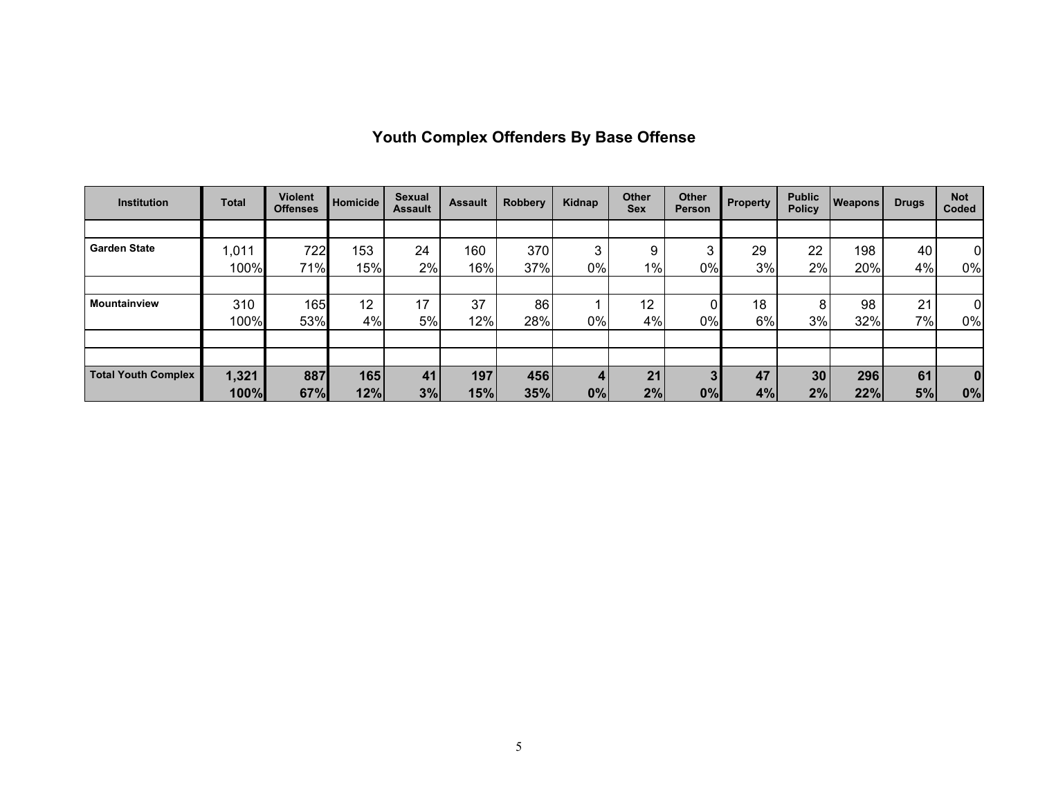|  | Youth Complex Offenders By Base Offense |  |
|--|-----------------------------------------|--|
|--|-----------------------------------------|--|

| <b>Institution</b>         | <b>Total</b> | <b>Violent</b><br><b>Offenses</b> | <b>Homicide</b> | <b>Sexual</b><br><b>Assault</b> | <b>Assault</b> | <b>Robbery</b> | Kidnap | <b>Other</b><br><b>Sex</b> | <b>Other</b><br><b>Person</b> | <b>Property</b> | <b>Public</b><br><b>Policy</b> | <b>Weapons</b> | <b>Drugs</b> | <b>Not</b><br>Coded |
|----------------------------|--------------|-----------------------------------|-----------------|---------------------------------|----------------|----------------|--------|----------------------------|-------------------------------|-----------------|--------------------------------|----------------|--------------|---------------------|
|                            |              |                                   |                 |                                 |                |                |        |                            |                               |                 |                                |                |              |                     |
| <b>Garden State</b>        | ,011         | 722                               | 153             | 24                              | 160            | 370            | 3      | 9                          | າ                             | 29              | 22                             | 198            | 40           | 0                   |
|                            | 100%         | 71%                               | 15%             | 2%                              | 16%            | 37%            | 0%     | $1\%$                      | $0\%$                         | 3%              | 2%                             | 20%            | 4%           | 0%                  |
|                            |              |                                   |                 |                                 |                |                |        |                            |                               |                 |                                |                |              |                     |
| Mountainview               | 310          | 165                               | 12              | 17                              | 37             | 86             |        | 12                         |                               | 18              | 8                              | 98             | 21           | 0                   |
|                            | 100%         | 53%                               | 4%              | 5%                              | 12%            | 28%            | 0%     | 4%                         | $0\%$                         | 6%              | 3%                             | 32%            | 7%           | 0%                  |
|                            |              |                                   |                 |                                 |                |                |        |                            |                               |                 |                                |                |              |                     |
|                            |              |                                   |                 |                                 |                |                |        |                            |                               |                 |                                |                |              |                     |
| <b>Total Youth Complex</b> | 1,321        | 887                               | 165             | 41                              | 197            | 456            | 4      | 21                         | 3 <sup>1</sup>                | 47              | 30                             | 296            | 61           | $\bf{0}$            |
|                            | 100%         | 67%                               | 12%             | 3%                              | 15%            | 35%            | 0%     | 2%                         | 0%                            | 4%              | 2%                             | 22%            | 5%           | 0%                  |